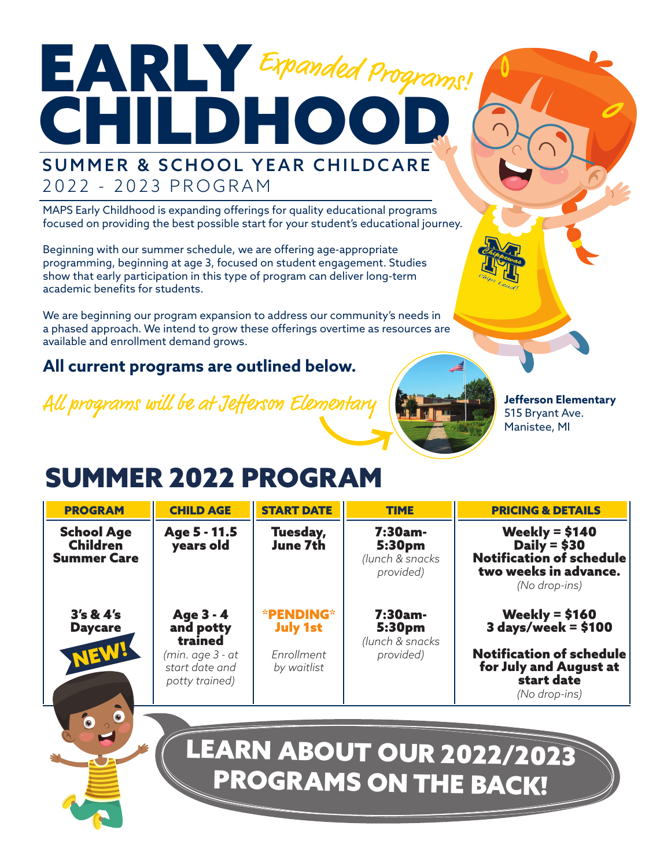# EARLY Expanded Programs! **CHILDHOO** SUMMER & SCHOOL YEAR CHILDCARE 2022 - 2023 PROGRAM

MAPS Early Childhood is expanding offerings for quality educational programs focused on providing the best possible start for your student's educational journey.

Beginning with our summer schedule, we are offering age-appropriate programming, beginning at age 3, focused on student engagement. Studies show that early participation in this type of program can deliver long-term academic benefits for students.

We are beginning our program expansion to address our community's needs in a phased approach. We intend to grow these offerings overtime as resources are available and enrollment demand grows.

### **All current programs are outlined below.**

All programs will be at Jefferson Elementary



**Jefferson Elementary** 515 Bryant Ave. Manistee, MI

## SUMMER 2022 PROGRAM

| <b>PROGRAM</b>                                             | <b>CHILD AGE</b>                                                                          | <b>START DATE</b>                                                | <b>TIME</b>                                          | <b>PRICING &amp; DETAILS</b>                                                                                                         |
|------------------------------------------------------------|-------------------------------------------------------------------------------------------|------------------------------------------------------------------|------------------------------------------------------|--------------------------------------------------------------------------------------------------------------------------------------|
| <b>School Age</b><br><b>Children</b><br><b>Summer Care</b> | Age 5 - 11.5<br>years old                                                                 | Tuesday,<br>June 7th                                             | $7:30am -$<br>5:30pm<br>(lunch & snacks<br>provided) | Weekly = $$140$<br>Daily = $$30$<br>Notification of schedule<br>two weeks in advance.<br>(No drop-ins)                               |
| 3's 8: 4's<br><b>Daycare</b><br>NEW!                       | Age 3 - 4<br>and potty<br>trained<br>(min. age 3 - at<br>start date and<br>potty trained) | <b>*PENDING*</b><br><b>July 1st</b><br>Enrollment<br>by waitlist | 7:30am-<br>5:30pm<br>(lunch & snacks<br>provided)    | Weekly = $$160$<br>$3$ days/week = \$100<br><b>Notification of schedule</b><br>for July and August at<br>start date<br>(No drop-ins) |
|                                                            |                                                                                           |                                                                  | PROGRAMS ON THE BACK!                                | LEARN ABOUT OUR 2022/2023                                                                                                            |